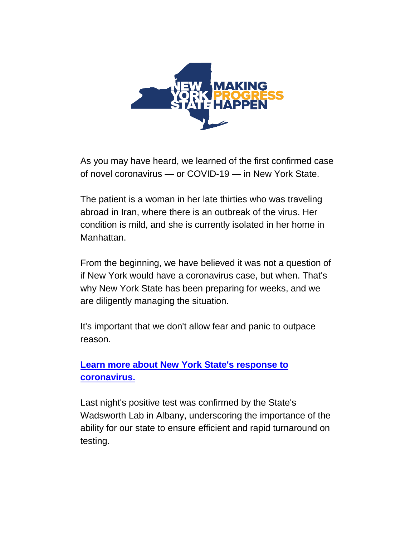

As you may have heard, we learned of the first confirmed case of novel coronavirus — or COVID-19 — in New York State.

The patient is a woman in her late thirties who was traveling abroad in Iran, where there is an outbreak of the virus. Her condition is mild, and she is currently isolated in her home in Manhattan.

From the beginning, we have believed it was not a question of if New York would have a coronavirus case, but when. That's why New York State has been preparing for weeks, and we are diligently managing the situation.

It's important that we don't allow fear and panic to outpace reason.

**[Learn more about New York State's response to](https://now.ny.gov/page/m/2dedcac9/5c9f1482/465eecd4/d50d090/773038555/VEsE/?g=vQ74LK0LBwxch8FUoZ5zwQA)  [coronavirus.](https://now.ny.gov/page/m/2dedcac9/5c9f1482/465eecd4/d50d090/773038555/VEsE/?g=vQ74LK0LBwxch8FUoZ5zwQA)**

Last night's positive test was confirmed by the State's Wadsworth Lab in Albany, underscoring the importance of the ability for our state to ensure efficient and rapid turnaround on testing.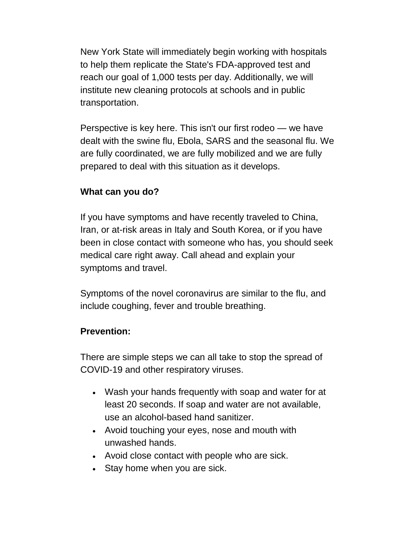New York State will immediately begin working with hospitals to help them replicate the State's FDA-approved test and reach our goal of 1,000 tests per day. Additionally, we will institute new cleaning protocols at schools and in public transportation.

Perspective is key here. This isn't our first rodeo — we have dealt with the swine flu, Ebola, SARS and the seasonal flu. We are fully coordinated, we are fully mobilized and we are fully prepared to deal with this situation as it develops.

## **What can you do?**

If you have symptoms and have recently traveled to China, Iran, or at-risk areas in Italy and South Korea, or if you have been in close contact with someone who has, you should seek medical care right away. Call ahead and explain your symptoms and travel.

Symptoms of the novel coronavirus are similar to the flu, and include coughing, fever and trouble breathing.

## **Prevention:**

There are simple steps we can all take to stop the spread of COVID-19 and other respiratory viruses.

- Wash your hands frequently with soap and water for at least 20 seconds. If soap and water are not available, use an alcohol-based hand sanitizer.
- Avoid touching your eyes, nose and mouth with unwashed hands.
- Avoid close contact with people who are sick.
- Stay home when you are sick.